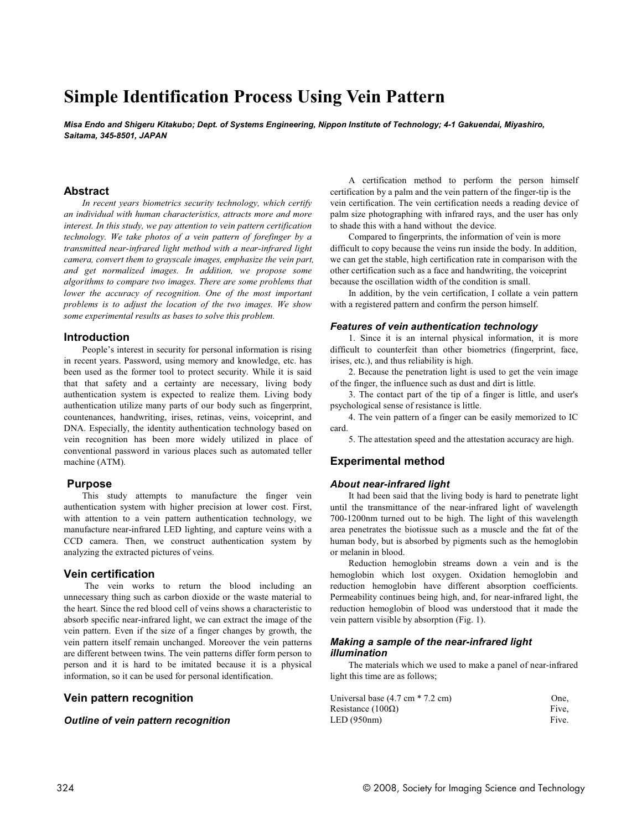# **Simple Identification Process Using Vein Pattern**

*Misa Endo and Shigeru Kitakubo; Dept. of Systems Engineering, Nippon Institute of Technology; 4-1 Gakuendai, Miyashiro, Saitama, 345-8501, JAPAN*

## **Abstract**

*In recent years biometrics security technology, which certify an individual with human characteristics, attracts more and more interest. In this study, we pay attention to vein pattern certification technology. We take photos of a vein pattern of forefinger by a transmitted near-infrared light method with a near-infrared light camera, convert them to grayscale images, emphasize the vein part, and get normalized images. In addition, we propose some algorithms to compare two images. There are some problems that lower the accuracy of recognition. One of the most important problems is to adjust the location of the two images. We show some experimental results as bases to solve this problem.*

#### **Introduction**

People's interest in security for personal information is rising in recent years. Password, using memory and knowledge, etc. has been used as the former tool to protect security. While it is said that that safety and a certainty are necessary, living body authentication system is expected to realize them. Living body authentication utilize many parts of our body such as fingerprint, countenances, handwriting, irises, retinas, veins, voiceprint, and DNA. Especially, the identity authentication technology based on vein recognition has been more widely utilized in place of conventional password in various places such as automated teller machine (ATM).

#### **Purpose**

This study attempts to manufacture the finger vein authentication system with higher precision at lower cost. First, with attention to a vein pattern authentication technology, we manufacture near-infrared LED lighting, and capture veins with a CCD camera. Then, we construct authentication system by analyzing the extracted pictures of veins.

### **Vein certification**

The vein works to return the blood including an unnecessary thing such as carbon dioxide or the waste material to the heart. Since the red blood cell of veins shows a characteristic to absorb specific near-infrared light, we can extract the image of the vein pattern. Even if the size of a finger changes by growth, the vein pattern itself remain unchanged. Moreover the vein patterns are different between twins. The vein patterns differ form person to person and it is hard to be imitated because it is a physical information, so it can be used for personal identification.

## **Vein pattern recognition**

### *Outline of vein pattern recognition*

A certification method to perform the person himself certification by a palm and the vein pattern of the finger-tip is the vein certification. The vein certification needs a reading device of palm size photographing with infrared rays, and the user has only to shade this with a hand without the device.

Compared to fingerprints, the information of vein is more difficult to copy because the veins run inside the body. In addition, we can get the stable, high certification rate in comparison with the other certification such as a face and handwriting, the voiceprint because the oscillation width of the condition is small.

In addition, by the vein certification, I collate a vein pattern with a registered pattern and confirm the person himself.

#### *Features of vein authentication technology*

1. Since it is an internal physical information, it is more difficult to counterfeit than other biometrics (fingerprint, face, irises, etc.), and thus reliability is high.

2. Because the penetration light is used to get the vein image of the finger, the influence such as dust and dirt is little.

3. The contact part of the tip of a finger is little, and user's psychological sense of resistance is little.

4. The vein pattern of a finger can be easily memorized to IC card.

5. The attestation speed and the attestation accuracy are high.

# **Experimental method**

#### *About near-infrared light*

It had been said that the living body is hard to penetrate light until the transmittance of the near-infrared light of wavelength 700-1200nm turned out to be high. The light of this wavelength area penetrates the biotissue such as a muscle and the fat of the human body, but is absorbed by pigments such as the hemoglobin or melanin in blood.

Reduction hemoglobin streams down a vein and is the hemoglobin which lost oxygen. Oxidation hemoglobin and reduction hemoglobin have different absorption coefficients. Permeability continues being high, and, for near-infrared light, the reduction hemoglobin of blood was understood that it made the vein pattern visible by absorption (Fig. 1).

#### *Making a sample of the near-infrared light illumination*

The materials which we used to make a panel of near-infrared light this time are as follows;

| Universal base $(4.7 \text{ cm} * 7.2 \text{ cm})$ | One.  |
|----------------------------------------------------|-------|
| Resistance (100 $\Omega$ )                         | Five. |
| LED (950nm)                                        | Five. |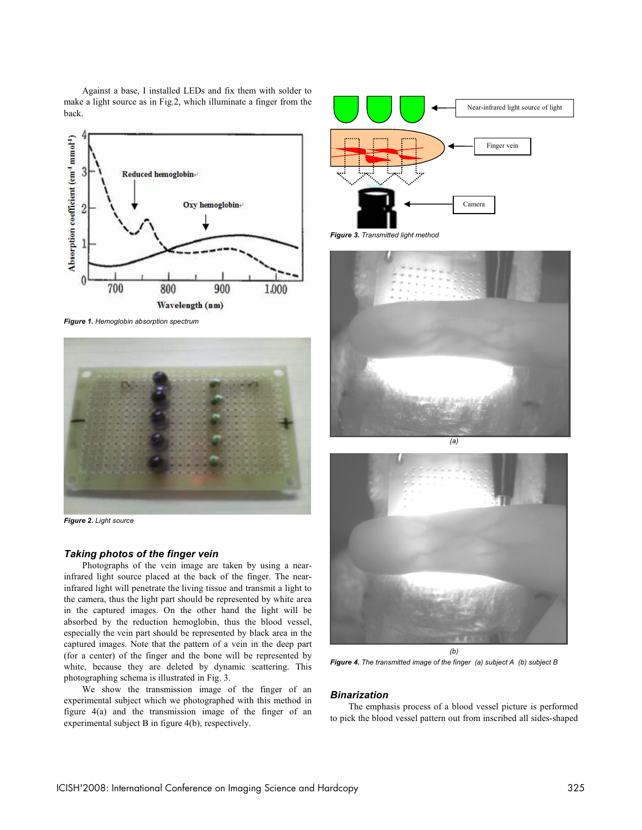Against a base, I installed LEDs and fix them with solder to make a light source as in Fig.2, which illuminate a finger from the back.



*Figure 1. Hemoglobin absorption spectrum*



*Figure 2. Light source*

#### *Taking photos of the finger vein*

Photographs of the vein image are taken by using a nearinfrared light source placed at the back of the finger. The nearinfrared light will penetrate the living tissue and transmit a light to the camera, thus the light part should be represented by white area in the captured images. On the other hand the light will be absorbed by the reduction hemoglobin, thus the blood vessel, especially the vein part should be represented by black area in the captured images. Note that the pattern of a vein in the deep part (for a center) of the finger and the bone will be represented by white, because they are deleted by dynamic scattering. This photographing schema is illustrated in Fig. 3.

We show the transmission image of the finger of an experimental subject which we photographed with this method in figure 4(a) and the transmission image of the finger of an experimental subject B in figure 4(b), respectively.



*Figure 3. Transmitted light method*





*Figure 4. The transmitted image of the finger (a) subject A (b) subject B*

#### *Binarization*

The emphasis process of a blood vessel picture is performed to pick the blood vessel pattern out from inscribed all sides-shaped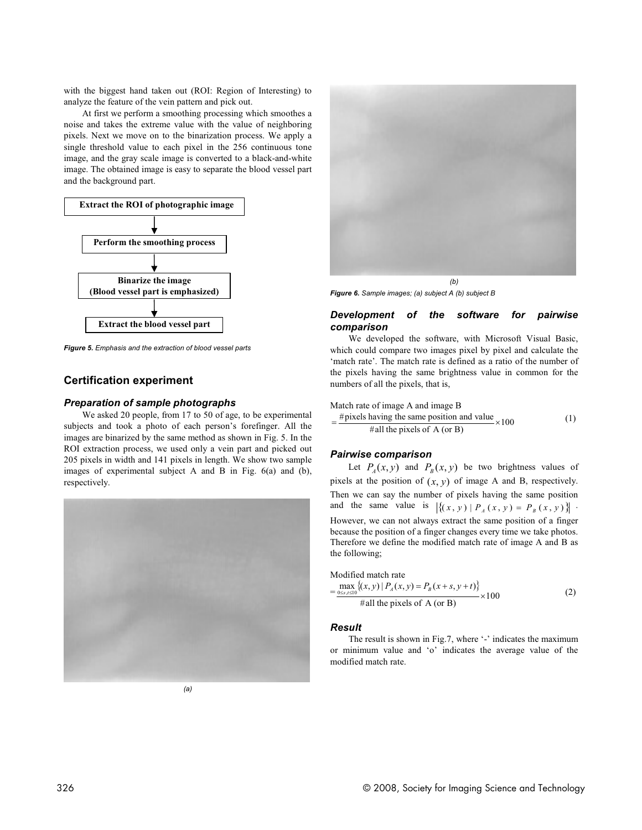with the biggest hand taken out (ROI: Region of Interesting) to analyze the feature of the vein pattern and pick out.

At first we perform a smoothing processing which smoothes a noise and takes the extreme value with the value of neighboring pixels. Next we move on to the binarization process. We apply a single threshold value to each pixel in the 256 continuous tone image, and the gray scale image is converted to a black-and-white image. The obtained image is easy to separate the blood vessel part and the background part.



*Figure 5. Emphasis and the extraction of blood vessel parts*

# **Certification experiment**

#### *Preparation of sample photographs*

We asked 20 people, from 17 to 50 of age, to be experimental subjects and took a photo of each person's forefinger. All the images are binarized by the same method as shown in Fig. 5. In the ROI extraction process, we used only a vein part and picked out 205 pixels in width and 141 pixels in length. We show two sample images of experimental subject A and B in Fig. 6(a) and (b), respectively.





*Figure 6. Sample images; (a) subject A (b) subject B*

#### *Development of the software for pairwise comparison*

We developed the software, with Microsoft Visual Basic, which could compare two images pixel by pixel and calculate the 'match rate'. The match rate is defined as a ratio of the number of the pixels having the same brightness value in common for the numbers of all the pixels, that is,

Match rate of image A and image B

$$
= \frac{\text{\#pixels having the same position and value}}{\text{\#all the pixels of A (or B)}} \times 100
$$
 (1)

## *Pairwise comparison*

Let  $P_4(x, y)$  and  $P_8(x, y)$  be two brightness values of pixels at the position of  $(x, y)$  of image A and B, respectively. Then we can say the number of pixels having the same position and the same value is  $\left| \{ (x, y) | P_A (x, y) = P_B (x, y) \} \right|$ . However, we can not always extract the same position of a finger because the position of a finger changes every time we take photos. Therefore we define the modified match rate of image A and B as the following;

Modified match rate

$$
= \frac{\max\limits_{0 \le s, t \le 10} \{(x, y) \mid P_A(x, y) = P_B(x + s, y + t)\}}{\text{Hall the pixels of A (or B)}} \times 100
$$
 (2)

#### *Result*

The result is shown in Fig.7, where  $\lq$ - $\lq$  indicates the maximum or minimum value and 'o' indicates the average value of the modified match rate.